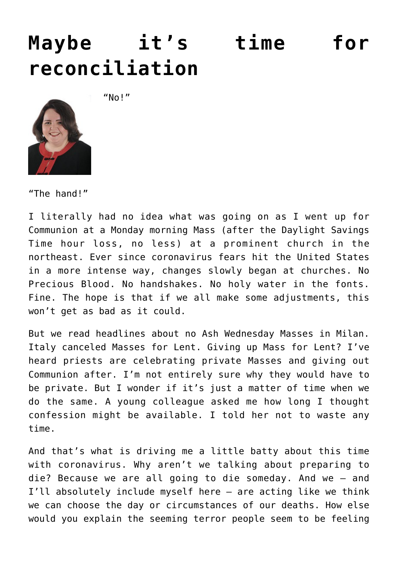## **[Maybe it's time for](https://www.osvnews.com/2020/03/10/maybe-its-time-for-reconciliation/) [reconciliation](https://www.osvnews.com/2020/03/10/maybe-its-time-for-reconciliation/)**

 $''$ No!"



"The hand!"

I literally had no idea what was going on as I went up for Communion at a Monday morning Mass (after the Daylight Savings Time hour loss, no less) at a prominent church in the northeast. Ever since coronavirus fears hit the United States in a more intense way, changes slowly began at churches. No Precious Blood. No handshakes. No holy water in the fonts. Fine. The hope is that if we all make some adjustments, this won't get as bad as it could.

But we read headlines about no Ash Wednesday Masses in Milan. Italy canceled Masses for Lent. Giving up Mass for Lent? I've heard priests are celebrating private Masses and giving out Communion after. I'm not entirely sure why they would have to be private. But I wonder if it's just a matter of time when we do the same. A young colleague asked me how long I thought confession might be available. I told her not to waste any time.

And that's what is driving me a little batty about this time with coronavirus. Why aren't we talking about preparing to die? Because we are all going to die someday. And we — and I'll absolutely include myself here — are acting like we think we can choose the day or circumstances of our deaths. How else would you explain the seeming terror people seem to be feeling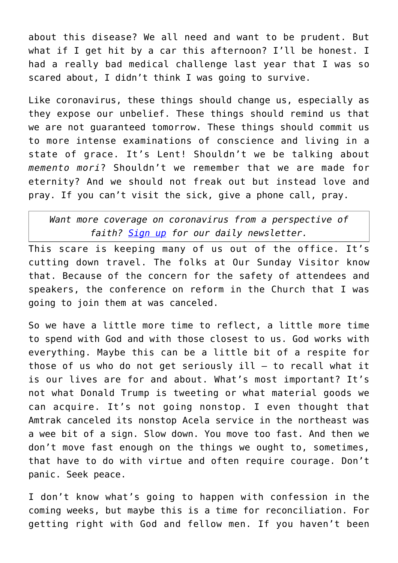about this disease? We all need and want to be prudent. But what if I get hit by a car this afternoon? I'll be honest. I had a really bad medical challenge last year that I was so scared about, I didn't think I was going to survive.

Like coronavirus, these things should change us, especially as they expose our unbelief. These things should remind us that we are not guaranteed tomorrow. These things should commit us to more intense examinations of conscience and living in a state of grace. It's Lent! Shouldn't we be talking about *memento mori*? Shouldn't we remember that we are made for eternity? And we should not freak out but instead love and pray. If you can't visit the sick, give a phone call, pray.

*Want more coverage on coronavirus from a perspective of faith? [Sign up](https://reply.osv.com/covid-19) for our daily newsletter.*

This scare is keeping many of us out of the office. It's cutting down travel. The folks at Our Sunday Visitor know that. Because of the concern for the safety of attendees and speakers, the conference on reform in the Church that I was going to join them at was canceled.

So we have a little more time to reflect, a little more time to spend with God and with those closest to us. God works with everything. Maybe this can be a little bit of a respite for those of us who do not get seriously ill — to recall what it is our lives are for and about. What's most important? It's not what Donald Trump is tweeting or what material goods we can acquire. It's not going nonstop. I even thought that Amtrak canceled its nonstop Acela service in the northeast was a wee bit of a sign. Slow down. You move too fast. And then we don't move fast enough on the things we ought to, sometimes, that have to do with virtue and often require courage. Don't panic. Seek peace.

I don't know what's going to happen with confession in the coming weeks, but maybe this is a time for reconciliation. For getting right with God and fellow men. If you haven't been